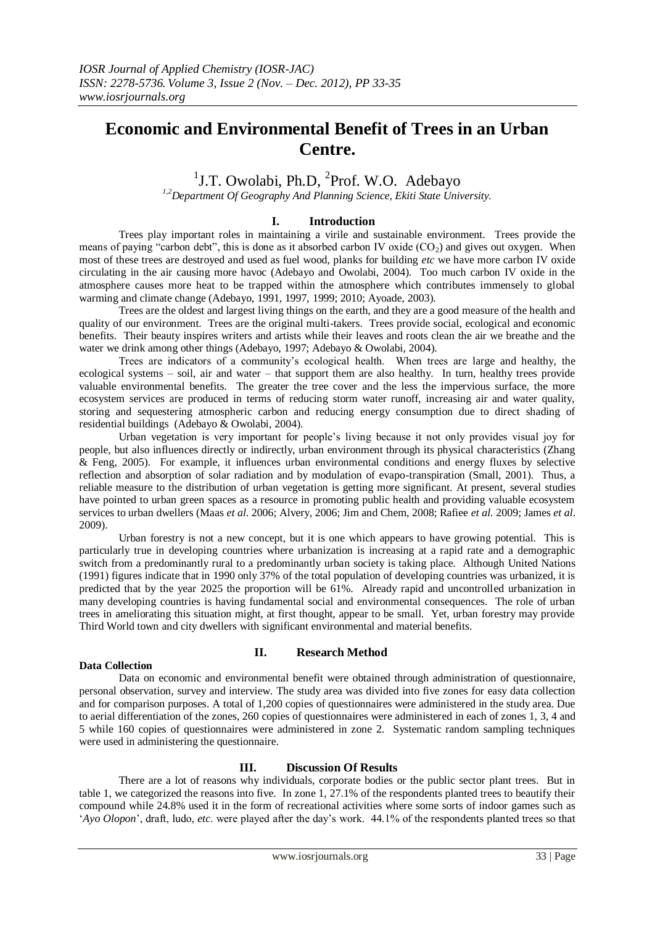# **Economic and Environmental Benefit of Trees in an Urban Centre.**

## <sup>1</sup>J.T. Owolabi, Ph.D, <sup>2</sup>Prof. W.O. Adebayo

*1,2Department Of Geography And Planning Science, Ekiti State University.*

#### **I. Introduction**

Trees play important roles in maintaining a virile and sustainable environment. Trees provide the means of paying "carbon debt", this is done as it absorbed carbon IV oxide  $(CO<sub>2</sub>)$  and gives out oxygen. When most of these trees are destroyed and used as fuel wood, planks for building *etc* we have more carbon IV oxide circulating in the air causing more havoc (Adebayo and Owolabi, 2004). Too much carbon IV oxide in the atmosphere causes more heat to be trapped within the atmosphere which contributes immensely to global warming and climate change (Adebayo, 1991, 1997, 1999; 2010; Ayoade, 2003).

Trees are the oldest and largest living things on the earth, and they are a good measure of the health and quality of our environment. Trees are the original multi-takers. Trees provide social, ecological and economic benefits. Their beauty inspires writers and artists while their leaves and roots clean the air we breathe and the water we drink among other things (Adebayo, 1997; Adebayo & Owolabi, 2004).

Trees are indicators of a community"s ecological health. When trees are large and healthy, the ecological systems – soil, air and water – that support them are also healthy. In turn, healthy trees provide valuable environmental benefits. The greater the tree cover and the less the impervious surface, the more ecosystem services are produced in terms of reducing storm water runoff, increasing air and water quality, storing and sequestering atmospheric carbon and reducing energy consumption due to direct shading of residential buildings (Adebayo & Owolabi, 2004).

Urban vegetation is very important for people"s living because it not only provides visual joy for people, but also influences directly or indirectly, urban environment through its physical characteristics (Zhang & Feng, 2005). For example, it influences urban environmental conditions and energy fluxes by selective reflection and absorption of solar radiation and by modulation of evapo-transpiration (Small, 2001). Thus, a reliable measure to the distribution of urban vegetation is getting more significant. At present, several studies have pointed to urban green spaces as a resource in promoting public health and providing valuable ecosystem services to urban dwellers (Maas *et al*. 2006; Alvery, 2006; Jim and Chem, 2008; Rafiee *et al.* 2009; James *et al*. 2009).

Urban forestry is not a new concept, but it is one which appears to have growing potential. This is particularly true in developing countries where urbanization is increasing at a rapid rate and a demographic switch from a predominantly rural to a predominantly urban society is taking place. Although United Nations (1991) figures indicate that in 1990 only 37% of the total population of developing countries was urbanized, it is predicted that by the year 2025 the proportion will be 61%. Already rapid and uncontrolled urbanization in many developing countries is having fundamental social and environmental consequences. The role of urban trees in ameliorating this situation might, at first thought, appear to be small. Yet, urban forestry may provide Third World town and city dwellers with significant environmental and material benefits.

### **II. Research Method**

#### **Data Collection**

Data on economic and environmental benefit were obtained through administration of questionnaire, personal observation, survey and interview. The study area was divided into five zones for easy data collection and for comparison purposes. A total of 1,200 copies of questionnaires were administered in the study area. Due to aerial differentiation of the zones, 260 copies of questionnaires were administered in each of zones 1, 3, 4 and 5 while 160 copies of questionnaires were administered in zone 2. Systematic random sampling techniques were used in administering the questionnaire.

#### **III. Discussion Of Results**

There are a lot of reasons why individuals, corporate bodies or the public sector plant trees. But in table 1, we categorized the reasons into five. In zone 1, 27.1% of the respondents planted trees to beautify their compound while 24.8% used it in the form of recreational activities where some sorts of indoor games such as "*Ayo Olopon*", draft, ludo, *etc*. were played after the day"s work. 44.1% of the respondents planted trees so that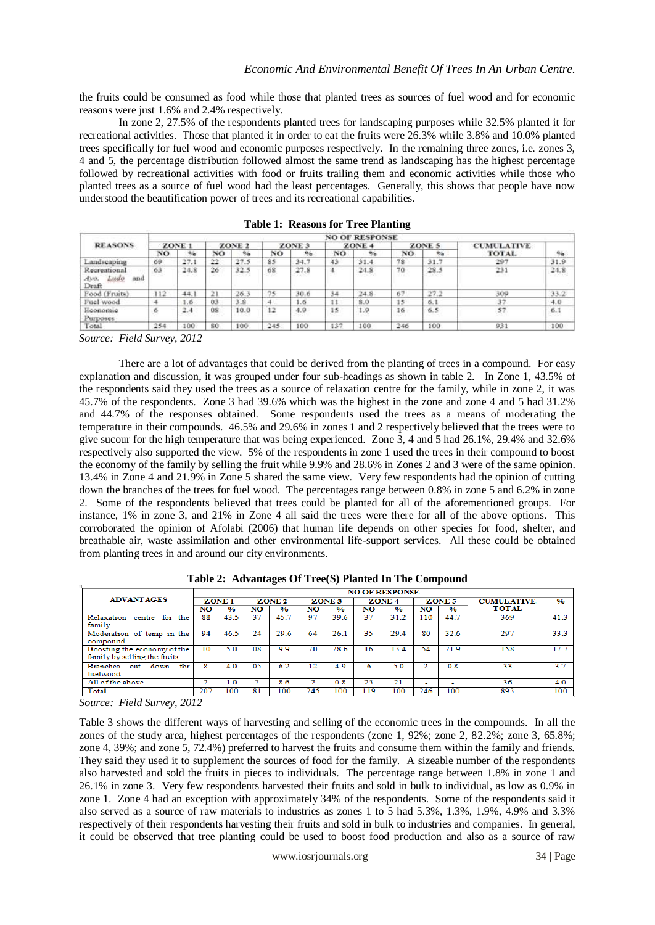the fruits could be consumed as food while those that planted trees as sources of fuel wood and for economic reasons were just 1.6% and 2.4% respectively.

In zone 2, 27.5% of the respondents planted trees for landscaping purposes while 32.5% planted it for recreational activities. Those that planted it in order to eat the fruits were 26.3% while 3.8% and 10.0% planted trees specifically for fuel wood and economic purposes respectively. In the remaining three zones, i.e. zones 3, 4 and 5, the percentage distribution followed almost the same trend as landscaping has the highest percentage followed by recreational activities with food or fruits trailing them and economic activities while those who planted trees as a source of fuel wood had the least percentages. Generally, this shows that people have now understood the beautification power of trees and its recreational capabilities.

| <b>REASONS</b>                               | <b>NO OF RESPONSE</b> |              |    |                   |     |                   |     |                   |          |             |                   |              |  |
|----------------------------------------------|-----------------------|--------------|----|-------------------|-----|-------------------|-----|-------------------|----------|-------------|-------------------|--------------|--|
|                                              | ZONE <sub>1</sub>     |              |    | ZONE <sub>2</sub> |     | ZONE <sub>3</sub> |     | ZONE <sub>4</sub> |          | ZONE 5      | <b>CUMULATIVE</b> |              |  |
|                                              | NO                    | $a_{\alpha}$ | NO | 9%                | NO  | 96.               | NO  | 26                | NO       | 秀春          | <b>TOTAL</b>      | $n_{\alpha}$ |  |
| Landscaping                                  | 69                    | 27.1         | 22 | 27.5              | 85  | 34.7              | 43  | 31.4              | 78       | 31.7        | 297               | 31.9         |  |
| Recreational<br>Ludo<br>and<br>Avo.<br>Draft | 63                    | 24.8         | 26 | 32.5              | 68  | 27.8<br>---       | ÷   | 24.8              | 70<br>-- | 28.5<br>awa | 231               | 24.8<br>1220 |  |
| Food (Fruits)                                | 112                   | 44.1         | 21 | 26.3              | 75  | 30.6              | 34  | 24.8              | 67       | 27.2        | 309               | 33.2         |  |
| Fuel wood                                    |                       | 1.6          | 03 | 3.8               |     | $4.6 -$           | 11  | 8.0               | 15       | 6.1         | 37                | 4,0          |  |
| Economic<br>Purposes                         | ō                     | 2.4          | 08 | 10.0              | 12  | 4.9               | 15  | 1.9<br>11 IN 6    | 16       | 6.5         | 57                | 6.1<br>---   |  |
| Total                                        | 254                   | 100          | 80 | 100               | 245 | 100               | 437 | 100               | 246      | 100         | 931               | 100          |  |

**Table 1: Reasons for Tree Planting**

*Source: Field Survey, 2012*

There are a lot of advantages that could be derived from the planting of trees in a compound. For easy explanation and discussion, it was grouped under four sub-headings as shown in table 2. In Zone 1, 43.5% of the respondents said they used the trees as a source of relaxation centre for the family, while in zone 2, it was 45.7% of the respondents. Zone 3 had 39.6% which was the highest in the zone and zone 4 and 5 had 31.2% and 44.7% of the responses obtained. Some respondents used the trees as a means of moderating the temperature in their compounds. 46.5% and 29.6% in zones 1 and 2 respectively believed that the trees were to give sucour for the high temperature that was being experienced. Zone 3, 4 and 5 had 26.1%, 29.4% and 32.6% respectively also supported the view. 5% of the respondents in zone 1 used the trees in their compound to boost the economy of the family by selling the fruit while 9.9% and 28.6% in Zones 2 and 3 were of the same opinion. 13.4% in Zone 4 and 21.9% in Zone 5 shared the same view. Very few respondents had the opinion of cutting down the branches of the trees for fuel wood. The percentages range between 0.8% in zone 5 and 6.2% in zone 2. Some of the respondents believed that trees could be planted for all of the aforementioned groups. For instance, 1% in zone 3, and 21% in Zone 4 all said the trees were there for all of the above options. This corroborated the opinion of Afolabi (2006) that human life depends on other species for food, shelter, and breathable air, waste assimilation and other environmental life-support services. All these could be obtained from planting trees in and around our city environments.

|                                                             | <b>NO OF RESPONSE</b> |               |                   |               |                   |      |                   |               |        |                          |                   |      |
|-------------------------------------------------------------|-----------------------|---------------|-------------------|---------------|-------------------|------|-------------------|---------------|--------|--------------------------|-------------------|------|
| <b>ADVANTAGES</b>                                           | ZONE <sub>1</sub>     |               | ZONE <sub>2</sub> |               | ZONE <sub>3</sub> |      | ZONE <sub>4</sub> |               | ZONE 5 |                          | <b>CUMULATIVE</b> | 0/6  |
|                                                             | NO                    | $\frac{0}{6}$ | NO                | $\frac{0}{6}$ | NO                | 0/6  | NO                | $\frac{0}{2}$ | NO     | 0/6                      | <b>TOTAL</b>      |      |
| Relaxation<br>for<br>the<br>centre<br>family                | 88                    | 43.5          | 37                | 45.7          | 97                | 39.6 | 37                | 31.2          | 110    | 44.7                     | 369               | 41.3 |
| Moderation of temp in the<br>compound                       | 94                    | 46.5          | 24                | 29.6          | 64                | 26.1 | 35                | 29.4          | 80     | 32.6                     | 297               | 33.3 |
| Boosting the economy of the<br>family by selling the fruits | 10                    | 5.0           | 08                | 9.9           | 70                | 28.6 | 16                | 13.4          | 54     | 21.9                     | 158               | 17.7 |
| for<br><b>Branches</b><br>down<br>cut<br>fuelwood           | R                     | 4.0           | 05                | 6.2           | 12                | 4.9  | 6                 | 5.0           | 2      | 0.8                      | 33                | 3.7  |
| All of the above                                            |                       | 1.0           |                   | 8.6           | ∼                 | 0.8  | 25                | 21            | ۰      | $\overline{\phantom{a}}$ | 36                | 4.0  |
| Total                                                       | 202                   | 100           | 81                | 100           | 245               | 100  | 119               | 100           | 246    | 100                      | 893               | 100  |

**Table 2: Advantages Of Tree(S) Planted In The Compound**

*Source: Field Survey, 2012*

Table 3 shows the different ways of harvesting and selling of the economic trees in the compounds. In all the zones of the study area, highest percentages of the respondents (zone 1, 92%; zone 2, 82.2%; zone 3, 65.8%; zone 4, 39%; and zone 5, 72.4%) preferred to harvest the fruits and consume them within the family and friends. They said they used it to supplement the sources of food for the family. A sizeable number of the respondents also harvested and sold the fruits in pieces to individuals. The percentage range between 1.8% in zone 1 and 26.1% in zone 3. Very few respondents harvested their fruits and sold in bulk to individual, as low as 0.9% in zone 1. Zone 4 had an exception with approximately 34% of the respondents. Some of the respondents said it also served as a source of raw materials to industries as zones 1 to 5 had 5.3%, 1.3%, 1.9%, 4.9% and 3.3% respectively of their respondents harvesting their fruits and sold in bulk to industries and companies. In general, it could be observed that tree planting could be used to boost food production and also as a source of raw